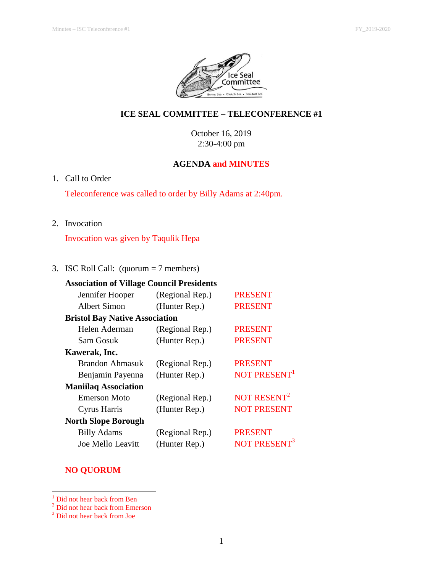

# **ICE SEAL COMMITTEE – TELECONFERENCE #1**

October 16, 2019 2:30-4:00 pm

### **AGENDA and MINUTES**

1. Call to Order

Teleconference was called to order by Billy Adams at 2:40pm.

2. Invocation

Invocation was given by Taqulik Hepa

# 3. ISC Roll Call: (quorum = 7 members)

| <b>Association of Village Council Presidents</b> |                 |                          |
|--------------------------------------------------|-----------------|--------------------------|
| Jennifer Hooper                                  | (Regional Rep.) | <b>PRESENT</b>           |
| Albert Simon                                     | (Hunter Rep.)   | <b>PRESENT</b>           |
| <b>Bristol Bay Native Association</b>            |                 |                          |
| Helen Aderman                                    | (Regional Rep.) | <b>PRESENT</b>           |
| Sam Gosuk                                        | (Hunter Rep.)   | <b>PRESENT</b>           |
| Kawerak, Inc.                                    |                 |                          |
| Brandon Ahmasuk                                  | (Regional Rep.) | <b>PRESENT</b>           |
| Benjamin Payenna                                 | (Hunter Rep.)   | NOT PRESENT <sup>1</sup> |
| <b>Maniilaq Association</b>                      |                 |                          |
| Emerson Moto                                     | (Regional Rep.) | NOT RESENT <sup>2</sup>  |
| Cyrus Harris                                     | (Hunter Rep.)   | <b>NOT PRESENT</b>       |
| <b>North Slope Borough</b>                       |                 |                          |
| <b>Billy Adams</b>                               | (Regional Rep.) | <b>PRESENT</b>           |
| Joe Mello Leavitt                                | (Hunter Rep.)   | <b>NOT PRESEN</b>        |

# **NO QUORUM**

l

<sup>&</sup>lt;sup>1</sup> Did not hear back from Ben

<sup>&</sup>lt;sup>2</sup> Did not hear back from Emerson

<sup>&</sup>lt;sup>3</sup> Did not hear back from Joe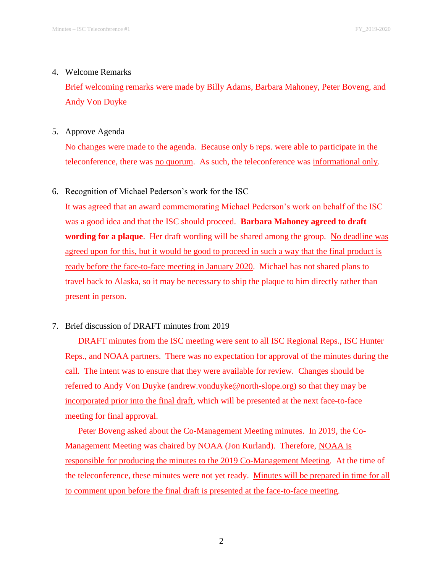#### 4. Welcome Remarks

Brief welcoming remarks were made by Billy Adams, Barbara Mahoney, Peter Boveng, and Andy Von Duyke

### 5. Approve Agenda

No changes were made to the agenda. Because only 6 reps. were able to participate in the teleconference, there was no quorum. As such, the teleconference was informational only.

### 6. Recognition of Michael Pederson's work for the ISC

It was agreed that an award commemorating Michael Pederson's work on behalf of the ISC was a good idea and that the ISC should proceed. **Barbara Mahoney agreed to draft wording for a plaque**. Her draft wording will be shared among the group. No deadline was agreed upon for this, but it would be good to proceed in such a way that the final product is ready before the face-to-face meeting in January 2020. Michael has not shared plans to travel back to Alaska, so it may be necessary to ship the plaque to him directly rather than present in person.

### 7. Brief discussion of DRAFT minutes from 2019

DRAFT minutes from the ISC meeting were sent to all ISC Regional Reps., ISC Hunter Reps., and NOAA partners. There was no expectation for approval of the minutes during the call. The intent was to ensure that they were available for review. Changes should be referred to Andy Von Duyke (andrew.vonduyke@north-slope.org) so that they may be incorporated prior into the final draft, which will be presented at the next face-to-face meeting for final approval.

Peter Boveng asked about the Co-Management Meeting minutes. In 2019, the Co-Management Meeting was chaired by NOAA (Jon Kurland). Therefore, NOAA is responsible for producing the minutes to the 2019 Co-Management Meeting. At the time of the teleconference, these minutes were not yet ready. Minutes will be prepared in time for all to comment upon before the final draft is presented at the face-to-face meeting.

2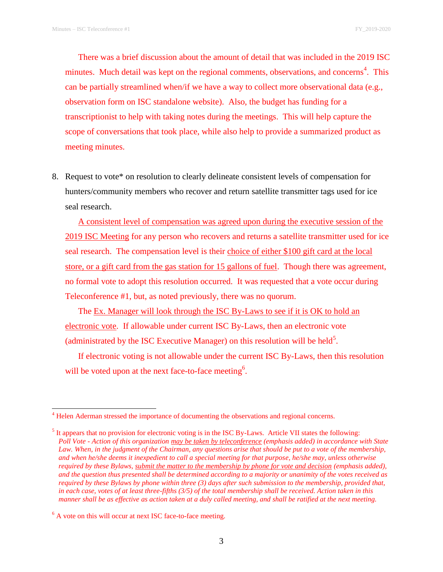There was a brief discussion about the amount of detail that was included in the 2019 ISC minutes. Much detail was kept on the regional comments, observations, and concerns<sup>4</sup>. This can be partially streamlined when/if we have a way to collect more observational data (e.g., observation form on ISC standalone website). Also, the budget has funding for a transcriptionist to help with taking notes during the meetings. This will help capture the scope of conversations that took place, while also help to provide a summarized product as meeting minutes.

8. Request to vote\* on resolution to clearly delineate consistent levels of compensation for hunters/community members who recover and return satellite transmitter tags used for ice seal research.

A consistent level of compensation was agreed upon during the executive session of the 2019 ISC Meeting for any person who recovers and returns a satellite transmitter used for ice seal research. The compensation level is their choice of either \$100 gift card at the local store, or a gift card from the gas station for 15 gallons of fuel. Though there was agreement, no formal vote to adopt this resolution occurred. It was requested that a vote occur during Teleconference #1, but, as noted previously, there was no quorum.

The Ex. Manager will look through the ISC By-Laws to see if it is OK to hold an electronic vote. If allowable under current ISC By-Laws, then an electronic vote (administrated by the ISC Executive Manager) on this resolution will be held<sup>5</sup>.

If electronic voting is not allowable under the current ISC By-Laws, then this resolution will be voted upon at the next face-to-face meeting<sup>6</sup>.

 $\overline{a}$ 

<sup>&</sup>lt;sup>4</sup> Helen Aderman stressed the importance of documenting the observations and regional concerns.

 $<sup>5</sup>$  It appears that no provision for electronic voting is in the ISC By-Laws. Article VII states the following:</sup> *Poll Vote - Action of this organization may be taken by teleconference (emphasis added) in accordance with State*  Law. When, in the judgment of the Chairman, any questions arise that should be put to a vote of the membership, *and when he/she deems it inexpedient to call a special meeting for that purpose, he/she may, unless otherwise required by these Bylaws, submit the matter to the membership by phone for vote and decision (emphasis added), and the question thus presented shall be determined according to a majority or unanimity of the votes received as required by these Bylaws by phone within three (3) days after such submission to the membership, provided that, in each case, votes of at least three-fifths (3/5) of the total membership shall be received. Action taken in this manner shall be as effective as action taken at a duly called meeting, and shall be ratified at the next meeting.*

 $<sup>6</sup>$  A vote on this will occur at next ISC face-to-face meeting.</sup>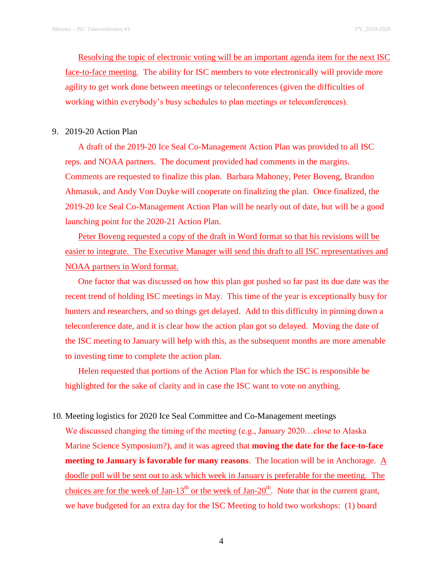Resolving the topic of electronic voting will be an important agenda item for the next ISC face-to-face meeting. The ability for ISC members to vote electronically will provide more agility to get work done between meetings or teleconferences (given the difficulties of working within everybody's busy schedules to plan meetings or teleconferences).

#### 9. 2019-20 Action Plan

A draft of the 2019-20 Ice Seal Co-Management Action Plan was provided to all ISC reps. and NOAA partners. The document provided had comments in the margins. Comments are requested to finalize this plan. Barbara Mahoney, Peter Boveng, Brandon Ahmasuk, and Andy Von Duyke will cooperate on finalizing the plan. Once finalized, the 2019-20 Ice Seal Co-Management Action Plan will be nearly out of date, but will be a good launching point for the 2020-21 Action Plan.

Peter Boveng requested a copy of the draft in Word format so that his revisions will be easier to integrate. The Executive Manager will send this draft to all ISC representatives and NOAA partners in Word format.

One factor that was discussed on how this plan got pushed so far past its due date was the recent trend of holding ISC meetings in May. This time of the year is exceptionally busy for hunters and researchers, and so things get delayed. Add to this difficulty in pinning down a teleconference date, and it is clear how the action plan got so delayed. Moving the date of the ISC meeting to January will help with this, as the subsequent months are more amenable to investing time to complete the action plan.

Helen requested that portions of the Action Plan for which the ISC is responsible be highlighted for the sake of clarity and in case the ISC want to vote on anything.

10. Meeting logistics for 2020 Ice Seal Committee and Co-Management meetings We discussed changing the timing of the meeting (e.g., January 2020…close to Alaska Marine Science Symposium?), and it was agreed that **moving the date for the face-to-face meeting to January is favorable for many reasons**. The location will be in Anchorage. A doodle poll will be sent out to ask which week in January is preferable for the meeting. The choices are for the week of Jan-13<sup>th</sup> or the week of Jan-20<sup>th</sup>. Note that in the current grant, we have budgeted for an extra day for the ISC Meeting to hold two workshops: (1) board

4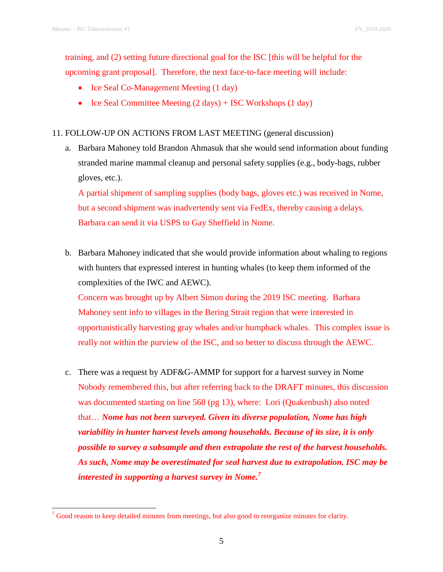l

training, and (2) setting future directional goal for the ISC [this will be helpful for the upcoming grant proposal]. Therefore, the next face-to-face meeting will include:

- Ice Seal Co-Management Meeting (1 day)
- Ice Seal Committee Meeting  $(2 \text{ days}) + \text{ISC}\text{ Workshops}$  (1 day)

# 11. FOLLOW-UP ON ACTIONS FROM LAST MEETING (general discussion)

a. Barbara Mahoney told Brandon Ahmasuk that she would send information about funding stranded marine mammal cleanup and personal safety supplies (e.g., body-bags, rubber gloves, etc.).

A partial shipment of sampling supplies (body bags, gloves etc.) was received in Nome, but a second shipment was inadvertently sent via FedEx, thereby causing a delays. Barbara can send it via USPS to Gay Sheffield in Nome.

b. Barbara Mahoney indicated that she would provide information about whaling to regions with hunters that expressed interest in hunting whales (to keep them informed of the complexities of the IWC and AEWC).

Concern was brought up by Albert Simon during the 2019 ISC meeting. Barbara Mahoney sent info to villages in the Bering Strait region that were interested in opportunistically harvesting gray whales and/or humpback whales. This complex issue is really not within the purview of the ISC, and so better to discuss through the AEWC.

c. There was a request by ADF&G-AMMP for support for a harvest survey in Nome Nobody remembered this, but after referring back to the DRAFT minutes, this discussion was documented starting on line 568 (pg 13), where: Lori (Quakenbush) also noted that… *Nome has not been surveyed. Given its diverse population, Nome has high variability in hunter harvest levels among households. Because of its size, it is only possible to survey a subsample and then extrapolate the rest of the harvest households. As such, Nome may be overestimated for seal harvest due to extrapolation. ISC may be interested in supporting a harvest survey in Nome.<sup>7</sup>*

 $7$  Good reason to keep detailed minutes from meetings, but also good to reorganize minutes for clarity.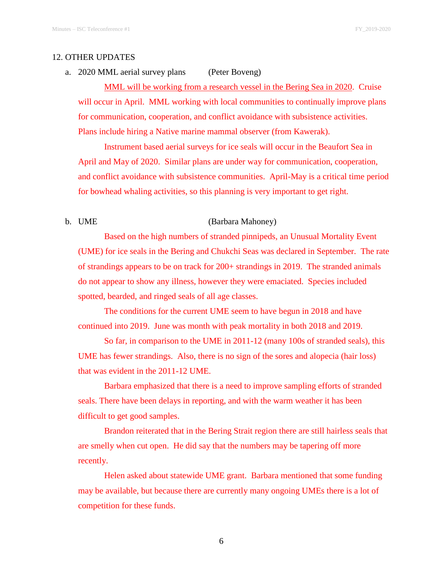#### 12. OTHER UPDATES

a. 2020 MML aerial survey plans (Peter Boveng)

MML will be working from a research vessel in the Bering Sea in 2020. Cruise will occur in April. MML working with local communities to continually improve plans for communication, cooperation, and conflict avoidance with subsistence activities. Plans include hiring a Native marine mammal observer (from Kawerak).

Instrument based aerial surveys for ice seals will occur in the Beaufort Sea in April and May of 2020. Similar plans are under way for communication, cooperation, and conflict avoidance with subsistence communities. April-May is a critical time period for bowhead whaling activities, so this planning is very important to get right.

b. UME (Barbara Mahoney)

Based on the high numbers of stranded pinnipeds, an Unusual Mortality Event (UME) for ice seals in the Bering and Chukchi Seas was declared in September. The rate of strandings appears to be on track for 200+ strandings in 2019. The stranded animals do not appear to show any illness, however they were emaciated. Species included spotted, bearded, and ringed seals of all age classes.

The conditions for the current UME seem to have begun in 2018 and have continued into 2019. June was month with peak mortality in both 2018 and 2019.

So far, in comparison to the UME in 2011-12 (many 100s of stranded seals), this UME has fewer strandings. Also, there is no sign of the sores and alopecia (hair loss) that was evident in the 2011-12 UME.

Barbara emphasized that there is a need to improve sampling efforts of stranded seals. There have been delays in reporting, and with the warm weather it has been difficult to get good samples.

Brandon reiterated that in the Bering Strait region there are still hairless seals that are smelly when cut open. He did say that the numbers may be tapering off more recently.

Helen asked about statewide UME grant. Barbara mentioned that some funding may be available, but because there are currently many ongoing UMEs there is a lot of competition for these funds.

6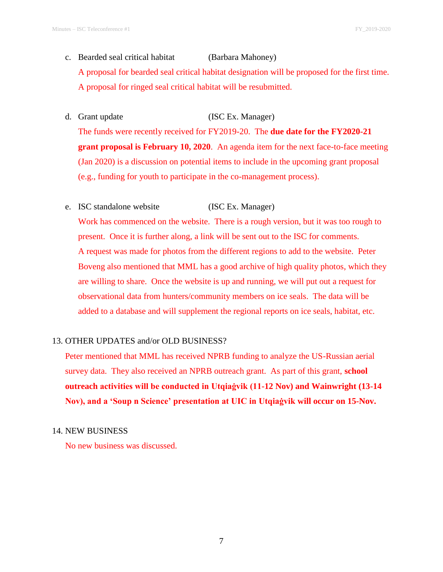c. Bearded seal critical habitat (Barbara Mahoney)

A proposal for bearded seal critical habitat designation will be proposed for the first time. A proposal for ringed seal critical habitat will be resubmitted.

d. Grant update (ISC Ex. Manager)

The funds were recently received for FY2019-20. The **due date for the FY2020-21 grant proposal is February 10, 2020**. An agenda item for the next face-to-face meeting (Jan 2020) is a discussion on potential items to include in the upcoming grant proposal (e.g., funding for youth to participate in the co-management process).

e. ISC standalone website (ISC Ex. Manager)

Work has commenced on the website. There is a rough version, but it was too rough to present. Once it is further along, a link will be sent out to the ISC for comments. A request was made for photos from the different regions to add to the website. Peter Boveng also mentioned that MML has a good archive of high quality photos, which they are willing to share. Once the website is up and running, we will put out a request for observational data from hunters/community members on ice seals. The data will be added to a database and will supplement the regional reports on ice seals, habitat, etc.

### 13. OTHER UPDATES and/or OLD BUSINESS?

Peter mentioned that MML has received NPRB funding to analyze the US-Russian aerial survey data. They also received an NPRB outreach grant. As part of this grant, **school outreach activities will be conducted in Utqiaġvik (11-12 Nov) and Wainwright (13-14 Nov), and a 'Soup n Science' presentation at UIC in Utqiaġvik will occur on 15-Nov.**

### 14. NEW BUSINESS

No new business was discussed.